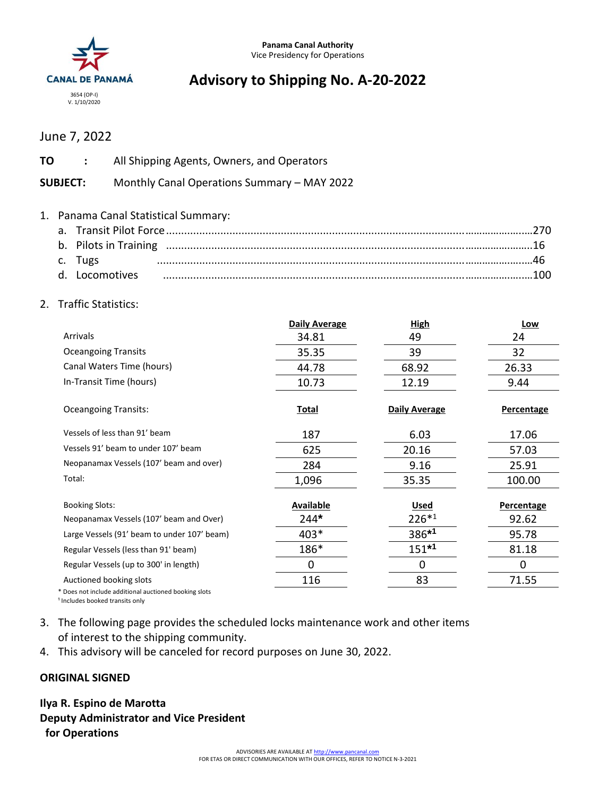

# **Advisory to Shipping No. A-20-2022**

## June 7, 2022

| <b>TO</b> :               | All Shipping Agents, Owners, and Operators  |  |
|---------------------------|---------------------------------------------|--|
| <b>SUBJECT:</b>           | Monthly Canal Operations Summary - MAY 2022 |  |
|                           | 1. Panama Canal Statistical Summary:        |  |
|                           |                                             |  |
| c. Tugs<br>d. Locomotives |                                             |  |

#### 2. Traffic Statistics:

|                                                     | <b>Daily Average</b> | <b>High</b>          | Low        |
|-----------------------------------------------------|----------------------|----------------------|------------|
| Arrivals                                            | 34.81                | 49                   | 24         |
| <b>Oceangoing Transits</b>                          | 35.35                | 39                   | 32         |
| Canal Waters Time (hours)                           | 44.78                | 68.92                | 26.33      |
| In-Transit Time (hours)                             | 10.73                | 12.19                | 9.44       |
| <b>Oceangoing Transits:</b>                         | <b>Total</b>         | <b>Daily Average</b> | Percentage |
| Vessels of less than 91' beam                       | 187                  | 6.03                 | 17.06      |
| Vessels 91' beam to under 107' beam                 | 625                  | 20.16                | 57.03      |
| Neopanamax Vessels (107' beam and over)             | 284                  | 9.16                 | 25.91      |
| Total:                                              | 1,096                | 35.35                | 100.00     |
| <b>Booking Slots:</b>                               | <b>Available</b>     | <b>Used</b>          | Percentage |
| Neopanamax Vessels (107' beam and Over)             | $244*$               | $226*1$              | 92.62      |
| Large Vessels (91' beam to under 107' beam)         | $403*$               | 386*1                | 95.78      |
| Regular Vessels (less than 91' beam)                | 186*                 | $151*1$              | 81.18      |
| Regular Vessels (up to 300' in length)              | 0                    | 0                    | 0          |
| Auctioned booking slots                             | 116                  | 83                   | 71.55      |
| Does not include additional auctioned booking slots |                      |                      |            |

<sup>1</sup> Includes booked transits only

- 3. The following page provides the scheduled locks maintenance work and other items of interest to the shipping community.
- 4. This advisory will be canceled for record purposes on June 30, 2022.

#### **ORIGINAL SIGNED**

### **Ilya R. Espino de Marotta Deputy Administrator and Vice President for Operations**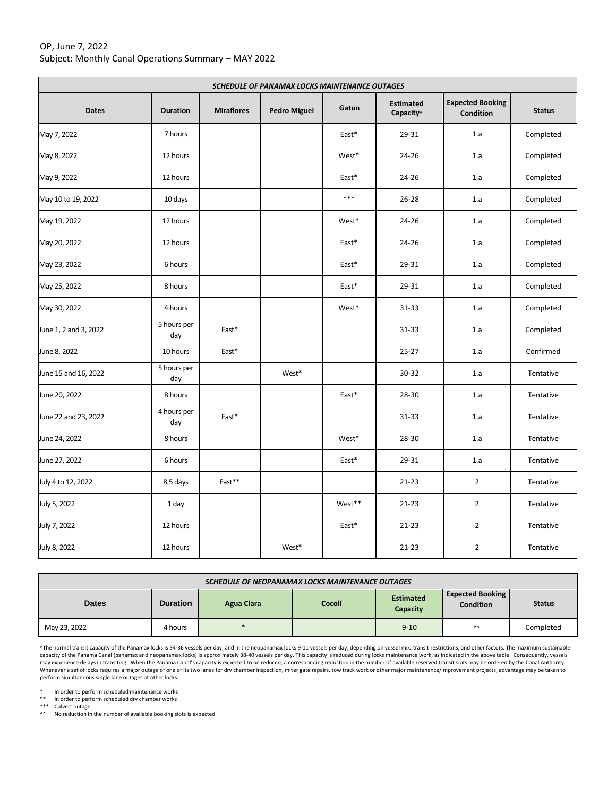#### OP, June 7, 2022 Subject: Monthly Canal Operations Summary – MAY 2022

| SCHEDULE OF PANAMAX LOCKS MAINTENANCE OUTAGES |                    |                   |                     |        |                               |                                      |               |
|-----------------------------------------------|--------------------|-------------------|---------------------|--------|-------------------------------|--------------------------------------|---------------|
| <b>Dates</b>                                  | <b>Duration</b>    | <b>Miraflores</b> | <b>Pedro Miguel</b> | Gatun  | <b>Estimated</b><br>Capacity^ | <b>Expected Booking</b><br>Condition | <b>Status</b> |
| May 7, 2022                                   | 7 hours            |                   |                     | East*  | 29-31                         | 1.a                                  | Completed     |
| May 8, 2022                                   | 12 hours           |                   |                     | West*  | $24 - 26$                     | 1.a                                  | Completed     |
| May 9, 2022                                   | 12 hours           |                   |                     | East*  | $24 - 26$                     | 1.a                                  | Completed     |
| May 10 to 19, 2022                            | 10 days            |                   |                     | $***$  | $26 - 28$                     | 1.a                                  | Completed     |
| May 19, 2022                                  | 12 hours           |                   |                     | West*  | 24-26                         | 1.a                                  | Completed     |
| May 20, 2022                                  | 12 hours           |                   |                     | East*  | 24-26                         | 1.a                                  | Completed     |
| May 23, 2022                                  | 6 hours            |                   |                     | East*  | 29-31                         | 1.a                                  | Completed     |
| May 25, 2022                                  | 8 hours            |                   |                     | East*  | 29-31                         | 1.a                                  | Completed     |
| May 30, 2022                                  | 4 hours            |                   |                     | West*  | 31-33                         | 1.a                                  | Completed     |
| June 1, 2 and 3, 2022                         | 5 hours per<br>day | East*             |                     |        | 31-33                         | 1.a                                  | Completed     |
| June 8, 2022                                  | 10 hours           | East*             |                     |        | $25 - 27$                     | 1.a                                  | Confirmed     |
| June 15 and 16, 2022                          | 5 hours per<br>day |                   | West*               |        | 30-32                         | 1.a                                  | Tentative     |
| June 20, 2022                                 | 8 hours            |                   |                     | East*  | 28-30                         | 1.a                                  | Tentative     |
| June 22 and 23, 2022                          | 4 hours per<br>day | East*             |                     |        | 31-33                         | 1.a                                  | Tentative     |
| June 24, 2022                                 | 8 hours            |                   |                     | West*  | 28-30                         | 1.a                                  | Tentative     |
| June 27, 2022                                 | 6 hours            |                   |                     | East*  | 29-31                         | 1.a                                  | Tentative     |
| July 4 to 12, 2022                            | 8.5 days           | East**            |                     |        | $21 - 23$                     | $\overline{2}$                       | Tentative     |
| July 5, 2022                                  | 1 day              |                   |                     | West** | $21 - 23$                     | $\overline{2}$                       | Tentative     |
| July 7, 2022                                  | 12 hours           |                   |                     | East*  | $21 - 23$                     | $\overline{2}$                       | Tentative     |
| July 8, 2022                                  | 12 hours           |                   | West*               |        | $21 - 23$                     | $\overline{2}$                       | Tentative     |

| SCHEDULE OF NEOPANAMAX LOCKS MAINTENANCE OUTAGES |                 |               |        |                              |                                             |               |  |  |
|--------------------------------------------------|-----------------|---------------|--------|------------------------------|---------------------------------------------|---------------|--|--|
| <b>Dates</b>                                     | <b>Duration</b> | Agua Clara    | Cocolí | <b>Estimated</b><br>Capacity | <b>Expected Booking</b><br><b>Condition</b> | <b>Status</b> |  |  |
| May 23, 2022                                     | 4 hours         | $\frac{1}{2}$ |        | $9 - 10$                     | $\Lambda\Lambda$                            | Completed     |  |  |

^The normal transit capacity of the Panamax locks is 34-36 vessels per day, and in the neopanamax locks 9-11 vessels per day, depending on vessel mix, transit restrictions, and other factors. The maximum sustainable capacity of the Panama Canal (panamax and neopanamax locks) is approximately 38-40 vessels per day. This capacity is reduced during locks maintenance work, as indicated in the above table. Consequently, vessels may experience delays in transiting. When the Panama Canal's capacity is expected to be reduced, a corresponding reduction in the number of available reserved transit slots may be ordered by the Canal Authority.<br>Whenever a

\* In order to perform scheduled maintenance works

\*\* In order to perform scheduled dry chamber works \*\*\* Culvert outage

^^ No reduction in the number of available booking slots is expected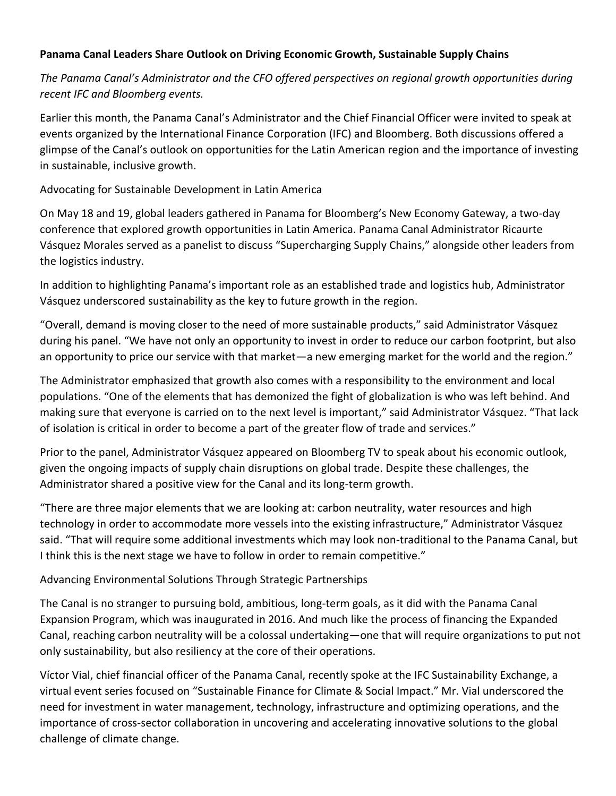#### **Panama Canal Leaders Share Outlook on Driving Economic Growth, Sustainable Supply Chains**

*The Panama Canal's Administrator and the CFO offered perspectives on regional growth opportunities during recent IFC and Bloomberg events.*

Earlier this month, the Panama Canal's Administrator and the Chief Financial Officer were invited to speak at events organized by the International Finance Corporation (IFC) and Bloomberg. Both discussions offered a glimpse of the Canal's outlook on opportunities for the Latin American region and the importance of investing in sustainable, inclusive growth.

Advocating for Sustainable Development in Latin America

On May 18 and 19, global leaders gathered in Panama for Bloomberg's New Economy Gateway, a two-day conference that explored growth opportunities in Latin America. Panama Canal Administrator Ricaurte Vásquez Morales served as a panelist to discuss "Supercharging Supply Chains," alongside other leaders from the logistics industry.

In addition to highlighting Panama's important role as an established trade and logistics hub, Administrator Vásquez underscored sustainability as the key to future growth in the region.

"Overall, demand is moving closer to the need of more sustainable products," said Administrator Vásquez during his panel. "We have not only an opportunity to invest in order to reduce our carbon footprint, but also an opportunity to price our service with that market—a new emerging market for the world and the region."

The Administrator emphasized that growth also comes with a responsibility to the environment and local populations. "One of the elements that has demonized the fight of globalization is who was left behind. And making sure that everyone is carried on to the next level is important," said Administrator Vásquez. "That lack of isolation is critical in order to become a part of the greater flow of trade and services."

Prior to the panel, Administrator Vásquez appeared on Bloomberg TV to speak about his economic outlook, given the ongoing impacts of supply chain disruptions on global trade. Despite these challenges, the Administrator shared a positive view for the Canal and its long-term growth.

"There are three major elements that we are looking at: carbon neutrality, water resources and high technology in order to accommodate more vessels into the existing infrastructure," Administrator Vásquez said. "That will require some additional investments which may look non-traditional to the Panama Canal, but I think this is the next stage we have to follow in order to remain competitive."

### Advancing Environmental Solutions Through Strategic Partnerships

The Canal is no stranger to pursuing bold, ambitious, long-term goals, as it did with the Panama Canal Expansion Program, which was inaugurated in 2016. And much like the process of financing the Expanded Canal, reaching carbon neutrality will be a colossal undertaking—one that will require organizations to put not only sustainability, but also resiliency at the core of their operations.

Víctor Vial, chief financial officer of the Panama Canal, recently spoke at the IFC Sustainability Exchange, a virtual event series focused on "Sustainable Finance for Climate & Social Impact." Mr. Vial underscored the need for investment in water management, technology, infrastructure and optimizing operations, and the importance of cross-sector collaboration in uncovering and accelerating innovative solutions to the global challenge of climate change.